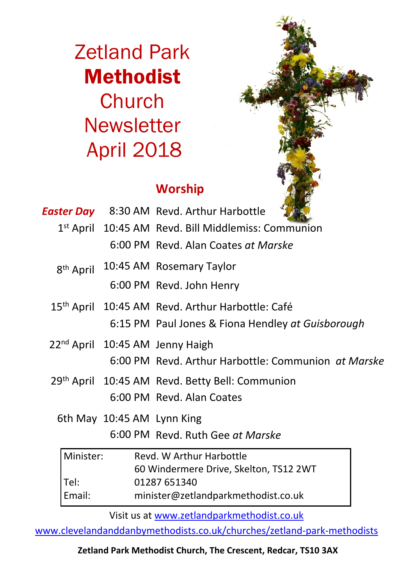Zetland Park Methodist **Church Newsletter** April 2018

### **Worship**

|           |                       |  | <b>Easter Day</b> 8:30 AM Revd. Arthur Harbottle             |  |
|-----------|-----------------------|--|--------------------------------------------------------------|--|
|           |                       |  | 1st April 10:45 AM Revd. Bill Middlemiss: Communion          |  |
|           |                       |  | 6:00 PM Revd. Alan Coates at Marske                          |  |
|           | 8 <sup>th</sup> April |  | 10:45 AM Rosemary Taylor                                     |  |
|           |                       |  | 6:00 PM Revd. John Henry                                     |  |
|           |                       |  | 15 <sup>th</sup> April 10:45 AM Revd. Arthur Harbottle: Café |  |
|           |                       |  | 6:15 PM Paul Jones & Fiona Hendley at Guisborough            |  |
|           |                       |  | 22 <sup>nd</sup> April 10:45 AM Jenny Haigh                  |  |
|           |                       |  | 6:00 PM Revd. Arthur Harbottle: Communion at Marske          |  |
|           |                       |  | 29th April 10:45 AM Revd. Betty Bell: Communion              |  |
|           |                       |  | 6:00 PM Revd. Alan Coates                                    |  |
|           |                       |  | 6th May 10:45 AM Lynn King                                   |  |
|           |                       |  | 6:00 PM Revd. Ruth Gee at Marske                             |  |
| Minister: |                       |  | Revd. W Arthur Harbottle                                     |  |
|           |                       |  | 60 Windermere Drive, Skelton, TS12 2WT                       |  |
|           | Tel:                  |  | 01287 651340                                                 |  |
|           | Email:                |  | minister@zetlandparkmethodist.co.uk                          |  |

Visit us at www.zetlandparkmethodist.co.uk

www.clevelandanddanbymethodists.co.uk/churches/zetland-park-methodists

**Zetland Park Methodist Church, The Crescent, Redcar, TS10 3AX**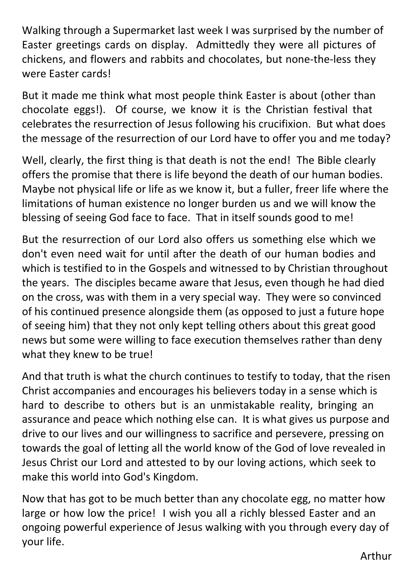Walking through a Supermarket last week I was surprised by the number of Easter greetings cards on display. Admittedly they were all pictures of chickens, and flowers and rabbits and chocolates, but none-the-less they were Easter cards!

But it made me think what most people think Easter is about (other than chocolate eggs!). Of course, we know it is the Christian festival that celebrates the resurrection of Jesus following his crucifixion. But what does the message of the resurrection of our Lord have to offer you and me today?

Well, clearly, the first thing is that death is not the end! The Bible clearly offers the promise that there is life beyond the death of our human bodies. Maybe not physical life or life as we know it, but a fuller, freer life where the limitations of human existence no longer burden us and we will know the blessing of seeing God face to face. That in itself sounds good to me!

But the resurrection of our Lord also offers us something else which we don't even need wait for until after the death of our human bodies and which is testified to in the Gospels and witnessed to by Christian throughout the years. The disciples became aware that Jesus, even though he had died on the cross, was with them in a very special way. They were so convinced of his continued presence alongside them (as opposed to just a future hope of seeing him) that they not only kept telling others about this great good news but some were willing to face execution themselves rather than deny what they knew to be true!

And that truth is what the church continues to testify to today, that the risen Christ accompanies and encourages his believers today in a sense which is hard to describe to others but is an unmistakable reality, bringing an assurance and peace which nothing else can. It is what gives us purpose and drive to our lives and our willingness to sacrifice and persevere, pressing on towards the goal of letting all the world know of the God of love revealed in Jesus Christ our Lord and attested to by our loving actions, which seek to make this world into God's Kingdom.

Now that has got to be much better than any chocolate egg, no matter how large or how low the price! I wish you all a richly blessed Easter and an ongoing powerful experience of Jesus walking with you through every day of your life.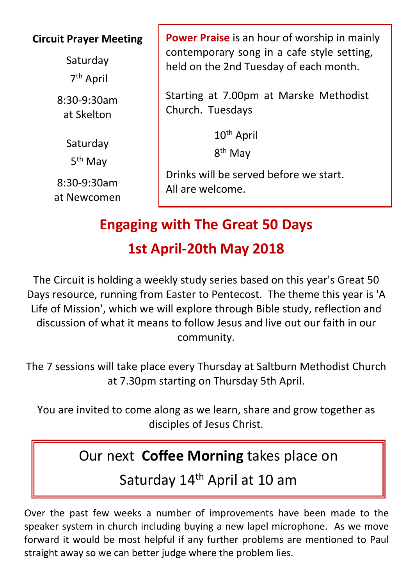#### **Circuit Prayer Meeting**

Saturday 7th April

8:30-9:30am at Skelton

> Saturday 5th May

8:30-9:30am at Newcomen **Power Praise** is an hour of worship in mainly contemporary song in a cafe style setting, held on the 2nd Tuesday of each month.

Starting at 7.00pm at Marske Methodist Church. Tuesdays

10th April

8<sup>th</sup> May

Drinks will be served before we start. All are welcome.

## **Engaging with The Great 50 Days 1st April-20th May 2018**

The Circuit is holding a weekly study series based on this year's Great 50 Days resource, running from Easter to Pentecost. The theme this year is 'A Life of Mission', which we will explore through Bible study, reflection and discussion of what it means to follow Jesus and live out our faith in our community.

The 7 sessions will take place every Thursday at Saltburn Methodist Church at 7.30pm starting on Thursday 5th April.

You are invited to come along as we learn, share and grow together as disciples of Jesus Christ.

## Our next **Coffee Morning** takes place on

Saturday 14<sup>th</sup> April at 10 am

Over the past few weeks a number of improvements have been made to the speaker system in church including buying a new lapel microphone. As we move forward it would be most helpful if any further problems are mentioned to Paul straight away so we can better judge where the problem lies.